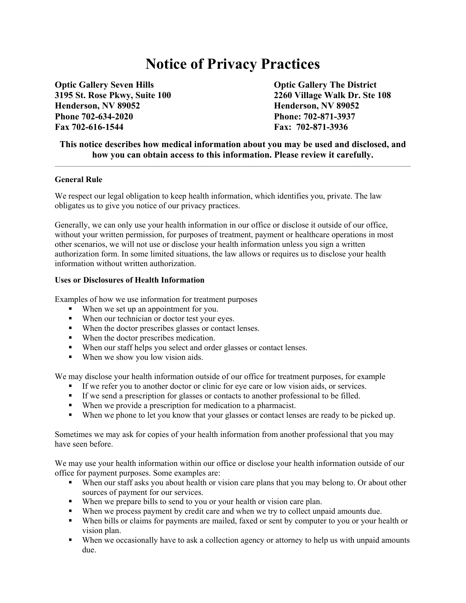# **Notice of Privacy Practices**

**Optic Gallery Seven Hills Community Community Community Contract Authority Contract Authority Contract Optic Gallery The District Henderson, NV 89052 Henderson, NV 89052 Phone 702-634-2020 Phone: 702-871-3937 Fax 702-616-1544 Fax: 702-871-3936** 

**3195 St. Rose Pkwy, Suite 100 2260 Village Walk Dr. Ste 108** 

## **This notice describes how medical information about you may be used and disclosed, and how you can obtain access to this information. Please review it carefully.**

#### **General Rule**

We respect our legal obligation to keep health information, which identifies you, private. The law obligates us to give you notice of our privacy practices.

Generally, we can only use your health information in our office or disclose it outside of our office, without your written permission, for purposes of treatment, payment or healthcare operations in most other scenarios, we will not use or disclose your health information unless you sign a written authorization form. In some limited situations, the law allows or requires us to disclose your health information without written authorization.

#### **Uses or Disclosures of Health Information**

Examples of how we use information for treatment purposes

- When we set up an appointment for you.
- When our technician or doctor test your eyes.
- When the doctor prescribes glasses or contact lenses.
- When the doctor prescribes medication.
- When our staff helps you select and order glasses or contact lenses.
- When we show you low vision aids.

We may disclose your health information outside of our office for treatment purposes, for example

- If we refer you to another doctor or clinic for eye care or low vision aids, or services.
- If we send a prescription for glasses or contacts to another professional to be filled.
- When we provide a prescription for medication to a pharmacist.
- When we phone to let you know that your glasses or contact lenses are ready to be picked up.

Sometimes we may ask for copies of your health information from another professional that you may have seen before.

We may use your health information within our office or disclose your health information outside of our office for payment purposes. Some examples are:

- When our staff asks you about health or vision care plans that you may belong to. Or about other sources of payment for our services.
- When we prepare bills to send to you or your health or vision care plan.
- When we process payment by credit care and when we try to collect unpaid amounts due.
- When bills or claims for payments are mailed, faxed or sent by computer to you or your health or vision plan.
- When we occasionally have to ask a collection agency or attorney to help us with unpaid amounts due.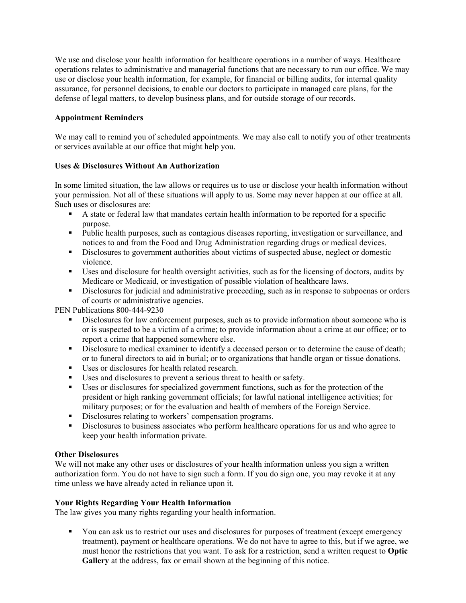We use and disclose your health information for healthcare operations in a number of ways. Healthcare operations relates to administrative and managerial functions that are necessary to run our office. We may use or disclose your health information, for example, for financial or billing audits, for internal quality assurance, for personnel decisions, to enable our doctors to participate in managed care plans, for the defense of legal matters, to develop business plans, and for outside storage of our records.

## **Appointment Reminders**

We may call to remind you of scheduled appointments. We may also call to notify you of other treatments or services available at our office that might help you.

### **Uses & Disclosures Without An Authorization**

In some limited situation, the law allows or requires us to use or disclose your health information without your permission. Not all of these situations will apply to us. Some may never happen at our office at all. Such uses or disclosures are:

- A state or federal law that mandates certain health information to be reported for a specific purpose.
- Public health purposes, such as contagious diseases reporting, investigation or surveillance, and notices to and from the Food and Drug Administration regarding drugs or medical devices.
- Disclosures to government authorities about victims of suspected abuse, neglect or domestic violence.
- Uses and disclosure for health oversight activities, such as for the licensing of doctors, audits by Medicare or Medicaid, or investigation of possible violation of healthcare laws.
- Disclosures for judicial and administrative proceeding, such as in response to subpoenas or orders of courts or administrative agencies.

PEN Publications 800-444-9230

- Disclosures for law enforcement purposes, such as to provide information about someone who is or is suspected to be a victim of a crime; to provide information about a crime at our office; or to report a crime that happened somewhere else.
- Disclosure to medical examiner to identify a deceased person or to determine the cause of death; or to funeral directors to aid in burial; or to organizations that handle organ or tissue donations.
- Uses or disclosures for health related research.
- Uses and disclosures to prevent a serious threat to health or safety.
- Uses or disclosures for specialized government functions, such as for the protection of the president or high ranking government officials; for lawful national intelligence activities; for military purposes; or for the evaluation and health of members of the Foreign Service.
- Disclosures relating to workers' compensation programs.
- **Disclosures to business associates who perform healthcare operations for us and who agree to** keep your health information private.

#### **Other Disclosures**

We will not make any other uses or disclosures of your health information unless you sign a written authorization form. You do not have to sign such a form. If you do sign one, you may revoke it at any time unless we have already acted in reliance upon it.

#### **Your Rights Regarding Your Health Information**

The law gives you many rights regarding your health information.

You can ask us to restrict our uses and disclosures for purposes of treatment (except emergency treatment), payment or healthcare operations. We do not have to agree to this, but if we agree, we must honor the restrictions that you want. To ask for a restriction, send a written request to **Optic Gallery** at the address, fax or email shown at the beginning of this notice.